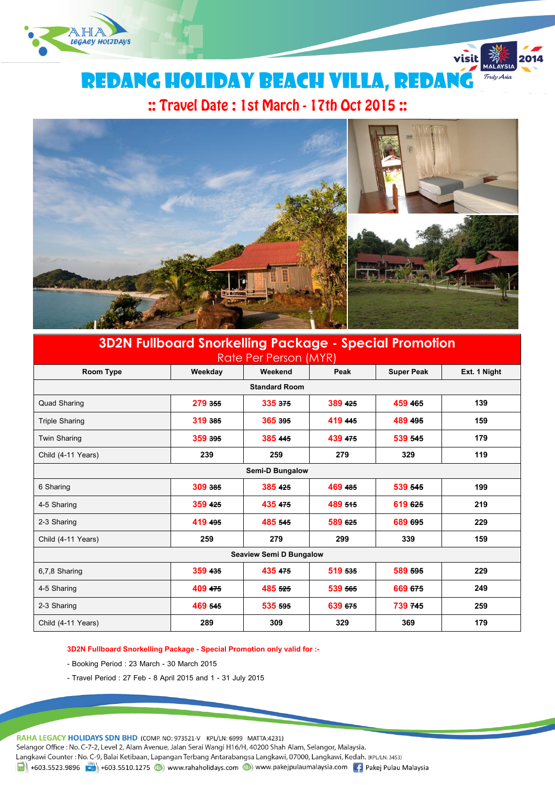

Redang holiday beach villa, redang

visit

Truly Asia

# :: Travel Date: 1st March - 17th Oct 2015:



# **3D2N Fullboard Snorkelling Package - Special Promotion**

| Rate Per Person (MYR)          |         |         |         |                   |              |  |  |  |
|--------------------------------|---------|---------|---------|-------------------|--------------|--|--|--|
| Room Type                      | Weekday | Weekend | Peak    | <b>Super Peak</b> | Ext. 1 Night |  |  |  |
| <b>Standard Room</b>           |         |         |         |                   |              |  |  |  |
| <b>Quad Sharing</b>            | 279 355 | 335 375 | 389 425 | 459 465           | 139          |  |  |  |
| <b>Triple Sharing</b>          | 319 385 | 365 395 | 419 445 | 489 495           | 159          |  |  |  |
| <b>Twin Sharing</b>            | 359 395 | 385 445 | 439 475 | 539 545           | 179          |  |  |  |
| Child (4-11 Years)             | 239     | 259     | 279     | 329               | 119          |  |  |  |
| <b>Semi-D Bungalow</b>         |         |         |         |                   |              |  |  |  |
| 6 Sharing                      | 309 385 | 385 425 | 469 485 | 539 545           | 199          |  |  |  |
| 4-5 Sharing                    | 359 425 | 435 475 | 489 515 | 619 625           | 219          |  |  |  |
| 2-3 Sharing                    | 419 495 | 485 545 | 589 625 | 689 695           | 229          |  |  |  |
| Child (4-11 Years)             | 259     | 279     | 299     | 339               | 159          |  |  |  |
| <b>Seaview Semi D Bungalow</b> |         |         |         |                   |              |  |  |  |
| 6,7,8 Sharing                  | 359 435 | 435 475 | 519 535 | 589 595           | 229          |  |  |  |
| 4-5 Sharing                    | 409 475 | 485 525 | 539 565 | 669 675           | 249          |  |  |  |
| 2-3 Sharing                    | 469 545 | 535 595 | 639 675 | 739 745           | 259          |  |  |  |
| Child (4-11 Years)             | 289     | 309     | 329     | 369               | 179          |  |  |  |

**3D2N Fullboard Snorkelling Package - Special Promotion only valid for :-**

- Booking Period : 23 March 30 March 2015
- Travel Period : 27 Feb 8 April 2015 and 1 31 July 2015

RAHA LEGACY HOLIDAYS SDN BHD (COMP. NO: 973521-V KPL/LN: 6999 MATTA:4231)

Selangor Office : No. C-7-2, Level 2, Alam Avenue, Jalan Serai Wangi H16/H, 40200 Shah Alam, Selangor, Malaysia.

Langkawi Counter: No. C-9, Balai Ketibaan, Lapangan Terbang Antarabangsa Langkawi, 07000, Langkawi, Kedah. (KPL/LN: 3453)

1 +603.5523.9896 + +603.5510.1275 (b) www.rahaholidays.com (b) www.pakejpulaumalaysia.com (f) Pakej Pulau Malaysia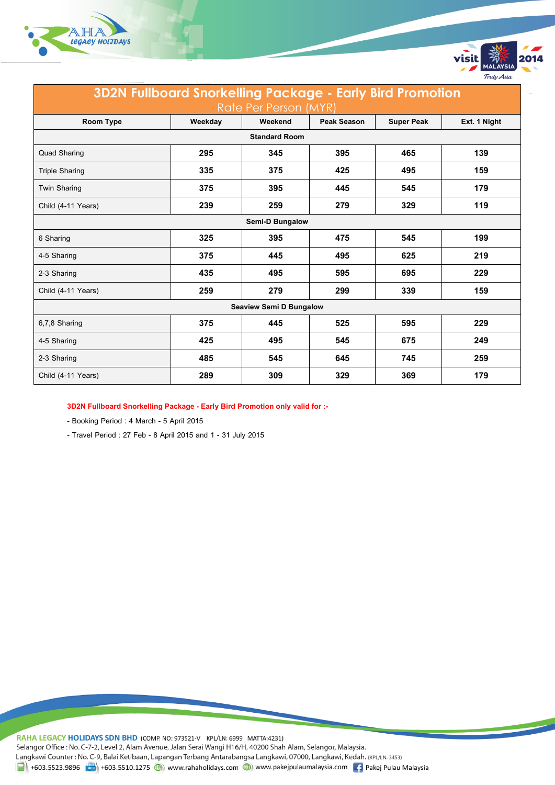

| <b>3D2N Fullboard Snorkelling Package - Early Bird Promotion</b> |         |         |                    |                   |              |  |  |  |
|------------------------------------------------------------------|---------|---------|--------------------|-------------------|--------------|--|--|--|
| Rate Per Person (MYR)                                            |         |         |                    |                   |              |  |  |  |
| <b>Room Type</b>                                                 | Weekday | Weekend | <b>Peak Season</b> | <b>Super Peak</b> | Ext. 1 Night |  |  |  |
| <b>Standard Room</b>                                             |         |         |                    |                   |              |  |  |  |
| <b>Quad Sharing</b>                                              | 295     | 345     | 395                | 465               | 139          |  |  |  |
| <b>Triple Sharing</b>                                            | 335     | 375     | 425                | 495               | 159          |  |  |  |
| <b>Twin Sharing</b>                                              | 375     | 395     | 445                | 545               | 179          |  |  |  |
| Child (4-11 Years)                                               | 239     | 259     | 279                | 329               | 119          |  |  |  |
| <b>Semi-D Bungalow</b>                                           |         |         |                    |                   |              |  |  |  |
| 6 Sharing                                                        | 325     | 395     | 475                | 545               | 199          |  |  |  |
| 4-5 Sharing                                                      | 375     | 445     | 495                | 625               | 219          |  |  |  |
| 2-3 Sharing                                                      | 435     | 495     | 595                | 695               | 229          |  |  |  |
| Child (4-11 Years)                                               | 259     | 279     | 299                | 339               | 159          |  |  |  |
| <b>Seaview Semi D Bungalow</b>                                   |         |         |                    |                   |              |  |  |  |
| 6,7,8 Sharing                                                    | 375     | 445     | 525                | 595               | 229          |  |  |  |
| 4-5 Sharing                                                      | 425     | 495     | 545                | 675               | 249          |  |  |  |
| 2-3 Sharing                                                      | 485     | 545     | 645                | 745               | 259          |  |  |  |
| Child (4-11 Years)                                               | 289     | 309     | 329                | 369               | 179          |  |  |  |

visit

Truly Asia

**3D2N Fullboard Snorkelling Package - Early Bird Promotion only valid for :-**

- Booking Period : 4 March - 5 April 2015

- Travel Period : 27 Feb - 8 April 2015 and 1 - 31 July 2015

RAHA LEGACY HOLIDAYS SDN BHD (COMP. NO: 973521-V KPL/LN: 6999 MATTA:4231) Selangor Office : No. C-7-2, Level 2, Alam Avenue, Jalan Serai Wangi H16/H, 40200 Shah Alam, Selangor, Malaysia. Langkawi Counter: No. C-9, Balai Ketibaan, Lapangan Terbang Antarabangsa Langkawi, 07000, Langkawi, Kedah. (KPL/LN: 3453) 1 +603.5523.9896 +603.5510.1275 (b) www.rahaholidays.com (b) www.pakejpulaumalaysia.com + Pakej Pulau Malaysia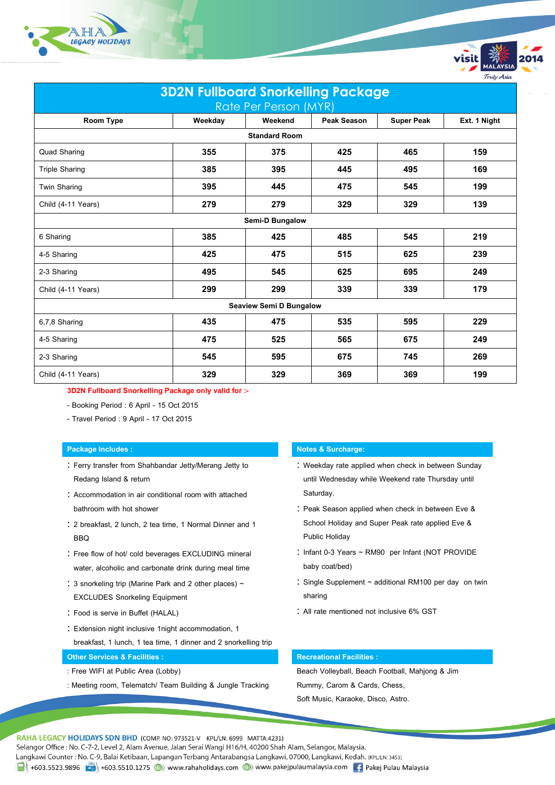



**3D2N Fullboard Snorkelling Package only valid for :-**

- Booking Period : 6 April 15 Oct 2015
- Travel Period : 9 April 17 Oct 2015

- Ferry transfer from Shahbandar Jetty/Merang Jetty to Redang Island & return
- : Accommodation in air conditional room with attached bathroom with hot shower
- 2 breakfast, 2 lunch, 2 tea time, 1 Normal Dinner and 1 **BBQ**
- : Free flow of hot/ cold beverages EXCLUDING mineral water, alcoholic and carbonate drink during meal time
- 3 snorkeling trip (Marine Park and 2 other places) ~ EXCLUDES Snorkeling Equipment
- Food is serve in Buffet (HALAL)
- Extension night inclusive 1night accommodation, 1
- breakfast, 1 lunch, 1 tea time, 1 dinner and 2 snorkelling trip

## **Other Services & Facilities : Recreational Facilities : Recreational Facilities :**

- : Free WIFI at Public Area (Lobby)
- : Meeting room, Telematch/ Team Building & Jungle Tracking

### **Package Includes : Notes & Surcharge:**

: Weekday rate applied when check in between Sunday until Wednesday while Weekend rate Thursday until Saturday.

Truly Asia

- : Peak Season applied when check in between Eve & School Holiday and Super Peak rate applied Eve & Public Holiday
- : Infant 0-3 Years ~ RM90 per Infant (NOT PROVIDE baby coat/bed)
- Single Supplement ~ additional RM100 per day on twin sharing
- All rate mentioned not inclusive 6% GST

Beach Volleyball, Beach Football, Mahjong & Jim Rummy, Carom & Cards, Chess, Soft Music, Karaoke, Disco, Astro.

RAHA LEGACY HOLIDAYS SDN BHD (COMP. NO: 973521-V KPL/LN: 6999 MATTA:4231)

Selangor Office : No. C-7-2, Level 2, Alam Avenue, Jalan Serai Wangi H16/H, 40200 Shah Alam, Selangor, Malaysia.

Langkawi Counter: No. C-9, Balai Ketibaan, Lapangan Terbang Antarabangsa Langkawi, 07000, Langkawi, Kedah. (KPL/LN: 3453)

Hold +603.5523.9896 Hold +603.5510.1275 (D) www.rahaholidays.com (D) www.pakejpulaumalaysia.com [1] Pakej Pulau Malaysia